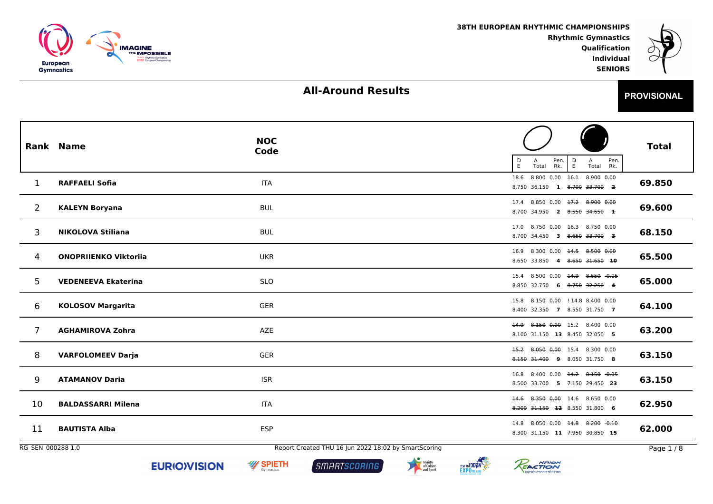



**PROVISIONAL**

 **IndividualSENIORS**

# **All-Around Results**

|                   | <b>Rank Name</b>             | <b>NOC</b><br>Code                                   | $\frac{D}{E}$<br>$\frac{D}{E}$<br>Pen.<br>Pen.<br>A<br>Total<br>Rk.<br>Total Rk. | <b>Total</b> |
|-------------------|------------------------------|------------------------------------------------------|----------------------------------------------------------------------------------|--------------|
| 1                 | <b>RAFFAELI Sofia</b>        | <b>ITA</b>                                           | 18.6 8.800 0.00 16.1 8.900 0.00<br>8.750 36.150 1 8.700 33.700 2                 | 69.850       |
| $\overline{2}$    | <b>KALEYN Boryana</b>        | <b>BUL</b>                                           | 17.4 8.850 0.00 17.2 8.900 0.00<br>8.700 34.950 2 8.550 34.650 1                 | 69.600       |
| 3                 | <b>NIKOLOVA Stiliana</b>     | <b>BUL</b>                                           | 17.0 8.750 0.00 16.3 8.750 0.00<br>8.700 34.450 3 8.650 33.700 3                 | 68.150       |
| 4                 | <b>ONOPRIIENKO Viktoriia</b> | <b>UKR</b>                                           | 16.9 8.300 0.00 14.5 8.500 0.00<br>8.650 33.850 4 8.650 31.650 10                | 65.500       |
| 5                 | <b>VEDENEEVA Ekaterina</b>   | <b>SLO</b>                                           | 15.4 8.500 0.00 14.9 8.650 -0.05<br>8.850 32.750 6 8.750 32.250 4                | 65.000       |
| 6                 | <b>KOLOSOV Margarita</b>     | <b>GER</b>                                           | 15.8 8.150 0.00 ! 14.8 8.400 0.00<br>8.400 32.350 7 8.550 31.750 7               | 64.100       |
| 7                 | <b>AGHAMIROVA Zohra</b>      | <b>AZE</b>                                           | 14.9 8.150 0.00 15.2 8.400 0.00<br>8.100 31.150 13 8.450 32.050 5                | 63.200       |
| 8                 | <b>VARFOLOMEEV Darja</b>     | <b>GER</b>                                           | 15.2 8.050 0.00 15.4 8.300 0.00<br>8.150 31.400 9 8.050 31.750 8                 | 63.150       |
| 9                 | <b>ATAMANOV Daria</b>        | <b>ISR</b>                                           | 16.8 8.400 0.00 14.2 8.150 -0.05<br>8.500 33.700 5 7.150 29.450 23               | 63.150       |
| 10                | <b>BALDASSARRI Milena</b>    | <b>ITA</b>                                           | 14.6 8.350 0.00 14.6 8.650 0.00<br>8.200 31.150 12 8.550 31.800 6                | 62.950       |
| 11                | <b>BAUTISTA Alba</b>         | <b>ESP</b>                                           | 14.8 8.050 0.00 14.8 8.200 -0.10<br>8.300 31.150 11 7.950 30.850 15              | 62.000       |
| RG SEN 000288 1.0 |                              | Report Created THU 16 Jun 2022 18:02 by SmartScoring |                                                                                  | Page $1/8$   |







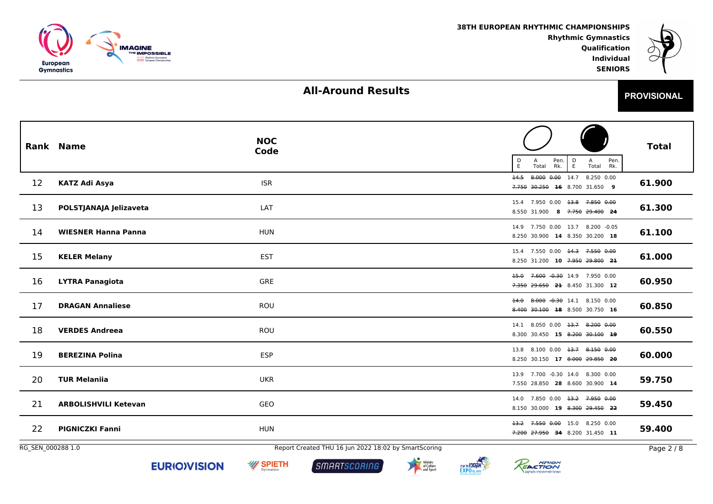



# **All-Around Results**

| c | <b>PROVISIONAL</b> |
|---|--------------------|
|   |                    |

 **IndividualSENIORS**

|                   | <b>Rank Name</b>            | <b>NOC</b><br>Code                                   | Pen.<br>Rk.<br>$\mathsf{D}_{\mathsf{E}}$<br>Pen.<br>D<br>Α<br>Α<br>E.<br>Total Rk.<br>Total | <b>Total</b> |
|-------------------|-----------------------------|------------------------------------------------------|---------------------------------------------------------------------------------------------|--------------|
| 12                | <b>KATZ Adi Asya</b>        | <b>ISR</b>                                           | 8.000 0.00 14.7 8.250 0.00<br>14.5<br>7.750 30.250 16 8.700 31.650 9                        | 61.900       |
| 13                | POLSTJANAJA Jelizaveta      | LAT                                                  | 7.950 0.00 <del>13.8</del> 7.850 0.00<br>15.4<br>8.550 31.900 8 7.750 29.400 24             | 61.300       |
| 14                | <b>WIESNER Hanna Panna</b>  | <b>HUN</b>                                           | 7.750 0.00 13.7 8.200 -0.05<br>14.9<br>8.250 30.900 14 8.350 30.200 18                      | 61.100       |
| 15                | <b>KELER Melany</b>         | <b>EST</b>                                           | 15.4 7.550 0.00 <del>14.3</del> 7.550 0.00<br>8.250 31.200 10 7.950 29.800 21               | 61.000       |
| 16                | <b>LYTRA Panagiota</b>      | GRE                                                  | 15.0 7.600 -0.30 14.9 7.950 0.00<br>7.350 29.650 21 8.450 31.300 12                         | 60.950       |
| 17                | <b>DRAGAN Annaliese</b>     | ROU                                                  | 8.000 -0.30 14.1 8.150 0.00<br>$+4.0$<br>8.400 30.100 18 8.500 30.750 16                    | 60.850       |
| 18                | <b>VERDES Andreea</b>       | ROU                                                  | 14.1 8.050 0.00 <del>13.7</del> 8.200 0.00<br>8.300 30.450 15 8.200 30.100 19               | 60.550       |
| 19                | <b>BEREZINA Polina</b>      | <b>ESP</b>                                           | 13.8 8.100 0.00 <del>13.7</del> 8.150 0.00<br>8.250 30.150 17 8.000 29.850 20               | 60.000       |
| 20                | <b>TUR Melaniia</b>         | <b>UKR</b>                                           | 13.9 7.700 -0.30 14.0 8.300 0.00<br>7.550 28.850 28 8.600 30.900 14                         | 59.750       |
| 21                | <b>ARBOLISHVILI Ketevan</b> | GEO                                                  | 14.0 7.850 0.00 <del>13.2</del> 7.950 0.00<br>8.150 30.000 19 8.300 29.450 22               | 59.450       |
| 22                | <b>PIGNICZKI Fanni</b>      | <b>HUN</b>                                           | 13.2 7.550 0.00 15.0 8.250 0.00<br>7.200 27.950 34 8.200 31.450 11                          | 59.400       |
| RG_SEN_000288 1.0 |                             | Report Created THU 16 Jun 2022 18:02 by SmartScoring |                                                                                             | Page 2 / 8   |







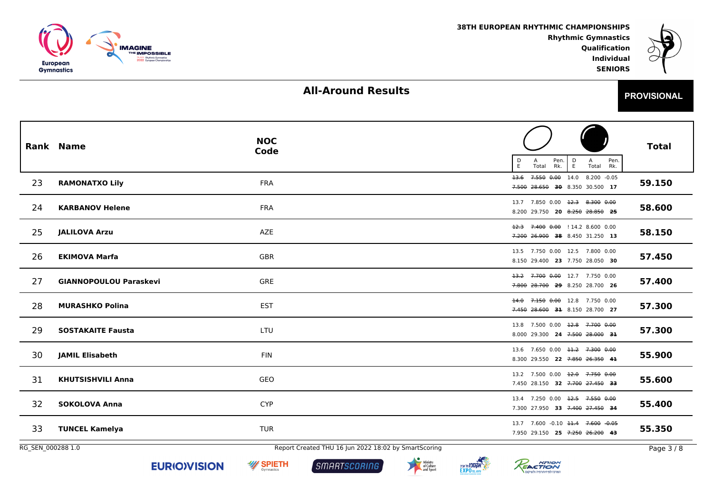

REACTION

המרכז לפיזיותרפיה ולשיקום

**אקטפו ווא אניג FXPO**TEL AVIV



# **All-Around Results**

| <b>PROVISIONAL</b> |
|--------------------|
|                    |

 **IndividualSENIORS**

|                   | <b>Rank Name</b>              | <b>NOC</b><br>Code                                   | Pen.<br>Pen.<br>$\frac{D}{E}$<br>Α<br>D<br>E<br>A<br>Total<br>Rk.<br>Total<br>Rk. | <b>Total</b> |
|-------------------|-------------------------------|------------------------------------------------------|-----------------------------------------------------------------------------------|--------------|
| 23                | <b>RAMONATXO Lily</b>         | <b>FRA</b>                                           | 7.550 0.00 14.0 8.200 -0.05<br>$+3.6$<br>7.500 28.650 30 8.350 30.500 17          | 59.150       |
| 24                | <b>KARBANOV Helene</b>        | <b>FRA</b>                                           | 13.7 7.850 0.00 <del>12.3 8.300 0.00</del><br>8.200 29.750 20 8.250 28.850 25     | 58.600       |
| 25                | <b>JALILOVA Arzu</b>          | AZE                                                  | 7.400 0.00 ! 14.2 8.600 0.00<br>$+2.3$<br>7.200 26.900 38 8.450 31.250 13         | 58.150       |
| 26                | <b>EKIMOVA Marfa</b>          | <b>GBR</b>                                           | 13.5 7.750 0.00 12.5 7.800 0.00<br>8.150 29.400 23 7.750 28.050 30                | 57.450       |
| 27                | <b>GIANNOPOULOU Paraskevi</b> | GRE                                                  | 13.2 7.700 0.00 12.7 7.750 0.00<br>7.800 28.700 29 8.250 28.700 26                | 57.400       |
| 28                | <b>MURASHKO Polina</b>        | <b>EST</b>                                           | 7.150 0.00 12.8 7.750 0.00<br>$+4.0$<br>7.450 28.600 31 8.150 28.700 27           | 57.300       |
| 29                | <b>SOSTAKAITE Fausta</b>      | LTU                                                  | 13.8 7.500 0.00 12.8 7.700 0.00<br>8.000 29.300 24 7.500 28.000 31                | 57.300       |
| 30                | <b>JAMIL Elisabeth</b>        | <b>FIN</b>                                           | 13.6 7.650 0.00 <del>11.2</del> 7.300 0.00<br>8.300 29.550 22 7.850 26.350 41     | 55.900       |
| 31                | <b>KHUTSISHVILI Anna</b>      | GEO                                                  | 13.2 7.500 0.00 <del>12.0</del> 7.750 0.00<br>7.450 28.150 32 7.700 27.450 33     | 55.600       |
| 32                | <b>SOKOLOVA Anna</b>          | <b>CYP</b>                                           | 13.4 7.250 0.00 12.5 7.550 0.00<br>7.300 27.950 33 7.400 27.450 34                | 55.400       |
| 33                | <b>TUNCEL Kamelya</b>         | <b>TUR</b>                                           | 13.7 7.600 -0.10 11.4 7.600 -0.05<br>7.950 29.150 25 7.250 26.200 43              | 55.350       |
| RG_SEN_000288 1.0 |                               | Report Created THU 16 Jun 2022 18:02 by SmartScoring |                                                                                   | Page 3/8     |

SMARTSCORING

**W SPIETH**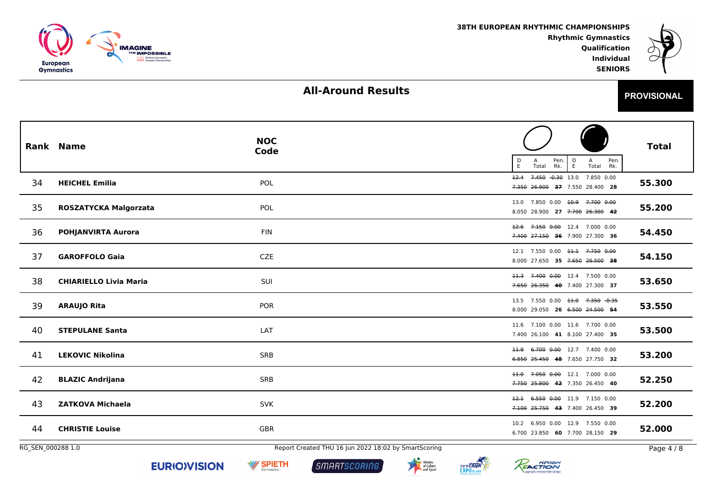



# **All-Around Results**

| -<br>-<br><b>PROVISIONAL</b> |
|------------------------------|
|------------------------------|

 **IndividualSENIORS**

|                   | <b>Rank Name</b>              | <b>NOC</b><br>Code                                   | Pen.<br>$\mathsf{D}_{\mathsf{E}}$<br>Pen.<br>A<br>D<br>А<br>E<br>Rk.<br>Total<br>Total<br>Rk. | <b>Total</b> |
|-------------------|-------------------------------|------------------------------------------------------|-----------------------------------------------------------------------------------------------|--------------|
| 34                | <b>HEICHEL Emilia</b>         | POL                                                  | 7.450 -0.30 13.0 7.850 0.00<br>12.4<br>7.350 26.900 37 7.550 28.400 28                        | 55.300       |
| 35                | ROSZATYCKA Malgorzata         | POL                                                  | 13.0 7.850 0.00 <del>10.9 7.700 0.00</del><br>8.050 28.900 27 7.700 26.300 42                 | 55.200       |
| 36                | POHJANVIRTA Aurora            | <b>FIN</b>                                           | 12.6 7.150 0.00 12.4 7.000 0.00<br>7.400 27.150 36 7.900 27.300 36                            | 54.450       |
| 37                | <b>GAROFFOLO Gaia</b>         | <b>CZE</b>                                           | 12.1 7.550 0.00 11.1 7.750 0.00<br>8.000 27.650 35 7.650 26.500 38                            | 54.150       |
| 38                | <b>CHIARIELLO Livia Maria</b> | SUI                                                  | 11.3 7.400 0.00 12.4 7.500 0.00<br>7.650 26.350 40 7.400 27.300 37                            | 53.650       |
| 39                | <b>ARAUJO Rita</b>            | <b>POR</b>                                           | 13.5 7.550 0.00 <del>11.0</del> 7.350 -0.35<br>8.000 29.050 26 6.500 24.500 54                | 53.550       |
| 40                | <b>STEPULANE Santa</b>        | LAT                                                  | 11.6 7.100 0.00 11.6 7.700 0.00<br>7.400 26.100 41 8.100 27.400 35                            | 53.500       |
| 41                | <b>LEKOVIC Nikolina</b>       | <b>SRB</b>                                           | 11.9 6.700 0.00 12.7 7.400 0.00<br>6.850 25.450 48 7.650 27.750 32                            | 53.200       |
| 42                | <b>BLAZIC Andrijana</b>       | <b>SRB</b>                                           | 11.0 7.050 0.00 12.1 7.000 0.00<br>7.750 25.800 42 7.350 26.450 40                            | 52.250       |
| 43                | <b>ZATKOVA Michaela</b>       | <b>SVK</b>                                           | 12.1 6.550 0.00 11.9 7.150 0.00<br>7.100 25.750 43 7.400 26.450 39                            | 52.200       |
| 44                | <b>CHRISTIE Louise</b>        | GBR                                                  | 10.2 6.950 0.00 12.9 7.550 0.00<br>6.700 23.850 60 7.700 28.150 29                            | 52.000       |
| RG_SEN_000288 1.0 |                               | Report Created THU 16 Jun 2022 18:02 by SmartScoring |                                                                                               | Page 4 / 8   |







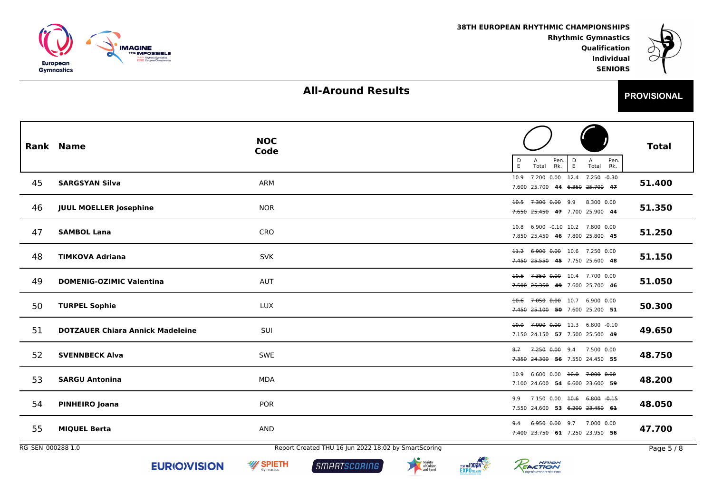



## **All-Around Results**

 **IndividualSENIORS**

|                   | <b>Rank Name</b>                        | <b>NOC</b><br>Code                                   | $\frac{D}{E}$<br>Pen.<br>Pen.<br>Rk.<br>$\frac{D}{E}$<br>Α<br>А<br>Total<br>Total<br>Rk. | <b>Total</b> |
|-------------------|-----------------------------------------|------------------------------------------------------|------------------------------------------------------------------------------------------|--------------|
| 45                | <b>SARGSYAN Silva</b>                   | ARM                                                  | 10.9 7.200 0.00 12.4 7.250 0.30<br>7.600 25.700 44 6.350 25.700 47                       | 51.400       |
| 46                | <b>JUUL MOELLER Josephine</b>           | <b>NOR</b>                                           | 10.5 7.300 0.00 9.9<br>8.300 0.00<br>7.650 25.450 47 7.700 25.900 44                     | 51.350       |
| 47                | <b>SAMBOL Lana</b>                      | CRO                                                  | 6.900 -0.10 10.2 7.800 0.00<br>10.8<br>7.850 25.450 46 7.800 25.800 45                   | 51.250       |
| 48                | <b>TIMKOVA Adriana</b>                  | <b>SVK</b>                                           | 11.2 6.900 0.00 10.6 7.250 0.00<br>7.450 25.550 45 7.750 25.600 48                       | 51.150       |
| 49                | <b>DOMENIG-OZIMIC Valentina</b>         | <b>AUT</b>                                           | 10.5 7.350 0.00 10.4 7.700 0.00<br>7.500 25.350 49 7.600 25.700 46                       | 51.050       |
| 50                | <b>TURPEL Sophie</b>                    | LUX                                                  | 10.6 7.050 0.00 10.7 6.900 0.00<br>7.450 25.100 50 7.600 25.200 51                       | 50.300       |
| 51                | <b>DOTZAUER Chiara Annick Madeleine</b> | SUI                                                  | 7.000 0.00 11.3 6.800 -0.10<br>40.0<br>7.150 24.150 57 7.500 25.500 49                   | 49.650       |
| 52                | <b>SVENNBECK Alva</b>                   | <b>SWE</b>                                           | 7.250 0.00 9.4 7.500 0.00<br>9.7<br>7.350 24.300 56 7.550 24.450 55                      | 48.750       |
| 53                | <b>SARGU Antonina</b>                   | MDA                                                  | 10.9 6.600 0.00 10.0 7.000 0.00<br>7.100 24.600 54 6.600 23.600 59                       | 48.200       |
| 54                | <b>PINHEIRO Joana</b>                   | <b>POR</b>                                           | 7.150 0.00 10.6 6.800 0.15<br>9.9<br>7.550 24.600 53 6.200 23.450 61                     | 48.050       |
| 55                | <b>MIQUEL Berta</b>                     | AND                                                  | 6.950 0.00 9.7 7.000 0.00<br>9.4<br>7.400 23.750 61 7.250 23.950 56                      | 47.700       |
| RG_SEN_000288 1.0 |                                         | Report Created THU 16 Jun 2022 18:02 by SmartScoring |                                                                                          | Page 5 / 8   |







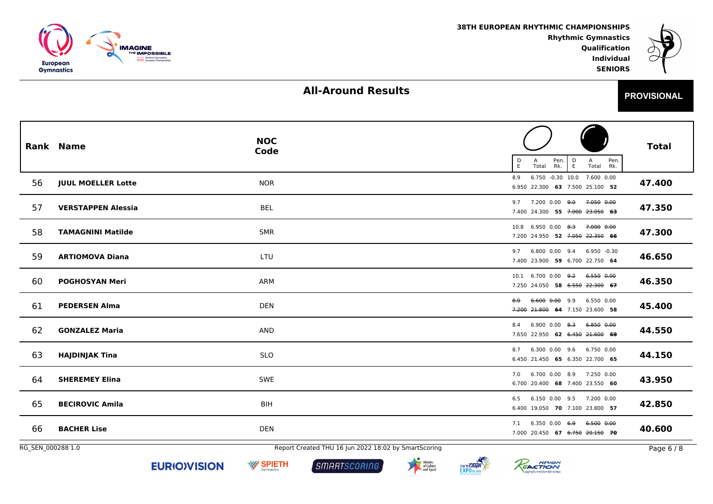



# **All-Around Results**

| c<br>- | <b>PROVISIONAL</b> |
|--------|--------------------|
|        |                    |

 **IndividualSENIORS**

|                   | <b>Rank Name</b>          | <b>NOC</b><br>Code                                   | $\frac{\mathsf{D}}{\mathsf{E}}$<br>Pen.<br>Rk.<br>Pen.<br>$\frac{D}{E}$<br>A<br>Α<br>Total<br>Total Rk. | <b>Total</b> |
|-------------------|---------------------------|------------------------------------------------------|---------------------------------------------------------------------------------------------------------|--------------|
| 56                | <b>JUUL MOELLER Lotte</b> | <b>NOR</b>                                           | 6.750 -0.30 10.0 7.600 0.00<br>8.9<br>6.950 22.300 63 7.500 25.100 52                                   | 47.400       |
| 57                | <b>VERSTAPPEN Alessia</b> | <b>BEL</b>                                           | 7.200 0.00 <del>9.0</del><br>7.050 0.00<br>9.7<br>7.400 24.300 55 7.000 23.050 63                       | 47.350       |
| 58                | <b>TAMAGNINI Matilde</b>  | <b>SMR</b>                                           | 10.8 6.950 0.00 8.3 7.000 0.00<br>7.200 24.950 52 7.050 22.350 66                                       | 47.300       |
| 59                | <b>ARTIOMOVA Diana</b>    | LTU                                                  | 6.800 0.00 9.4 6.950 -0.30<br>9.7<br>7.400 23.900 59 6.700 22.750 64                                    | 46.650       |
| 60                | <b>POGHOSYAN Meri</b>     | <b>ARM</b>                                           | $10.1$ 6.700 0.00 <del>9.2</del><br>6.550 0.00<br>7.250 24.050 58 6.550 22.300 67                       | 46.350       |
| 61                | <b>PEDERSEN Alma</b>      | <b>DEN</b>                                           | 6.600 0.00 9.9<br>6.550 0.00<br>8.0<br>7.200 21.800 64 7.150 23.600 58                                  | 45.400       |
| 62                | <b>GONZALEZ Maria</b>     | <b>AND</b>                                           | $6.900$ $0.00$ $8.3$<br>6.850 0.00<br>8.4<br>7.650 22.950 62 6.450 21.600 69                            | 44.550       |
| 63                | <b>HAJDINJAK Tina</b>     | <b>SLO</b>                                           | 6.300 0.00 9.6 6.750 0.00<br>8.7<br>6.450 21.450 65 6.350 22.700 65                                     | 44.150       |
| 64                | <b>SHEREMEY Elina</b>     | <b>SWE</b>                                           | 7.0 6.700 0.00 8.9 7.250 0.00<br>6.700 20.400 68 7.400 23.550 60                                        | 43.950       |
| 65                | <b>BECIROVIC Amila</b>    | <b>BIH</b>                                           | 6.150 0.00 9.5 7.200 0.00<br>6.5<br>6.400 19.050 70 7.100 23.800 57                                     | 42.850       |
| 66                | <b>BACHER Lise</b>        | <b>DEN</b>                                           | 6.350 0.00 6.9 6.500 0.00<br>7.1<br>7.000 20.450 67 6.750 20.150 70                                     | 40.600       |
| RG_SEN_000288 1.0 |                           | Report Created THU 16 Jun 2022 18:02 by SmartScoring |                                                                                                         | Page 6 / 8   |







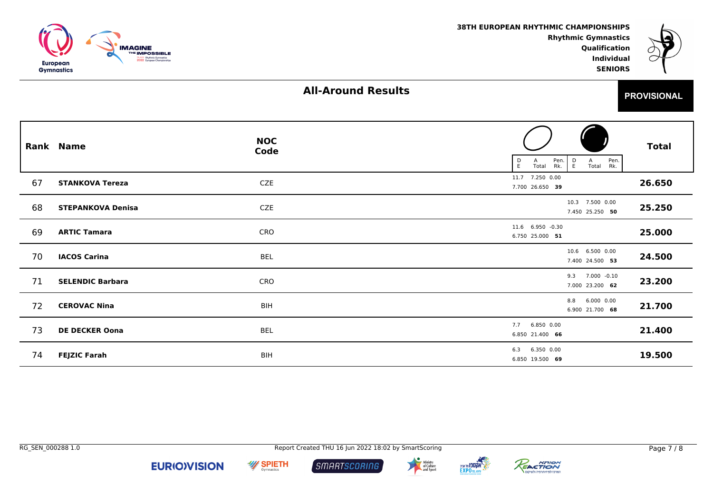



**PROVISIONAL**

 **IndividualSENIORS**

#### **All-Around Results**

|    | <b>Rank Name</b>         | <b>NOC</b><br>Code | Pen.<br>Pen.<br>$\frac{D}{E}$<br>D<br>E<br>Α<br>A<br>Total<br>Rk.<br>Total Rk. | <b>Total</b> |
|----|--------------------------|--------------------|--------------------------------------------------------------------------------|--------------|
| 67 | <b>STANKOVA Tereza</b>   | CZE                | 11.7 7.250 0.00<br>7.700 26.650 39                                             | 26.650       |
| 68 | <b>STEPANKOVA Denisa</b> | CZE                | 10.3 7.500 0.00<br>7.450 25.250 50                                             | 25.250       |
| 69 | <b>ARTIC Tamara</b>      | CRO                | 11.6 6.950 -0.30<br>6.750 25.000 51                                            | 25.000       |
| 70 | <b>IACOS Carina</b>      | <b>BEL</b>         | 10.6 6.500 0.00<br>7.400 24.500 53                                             | 24.500       |
| 71 | <b>SELENDIC Barbara</b>  | CRO                | 9.3 7.000 -0.10<br>7.000 23.200 62                                             | 23.200       |
| 72 | <b>CEROVAC Nina</b>      | <b>BIH</b>         | 6.000 0.00<br>8.8<br>6.900 21.700 68                                           | 21.700       |
| 73 | <b>DE DECKER Oona</b>    | BEL                | 7.7 6.850 0.00<br>6.850 21.400 66                                              | 21.400       |
| 74 | <b>FEJZIC Farah</b>      | <b>BIH</b>         | 6.3 6.350 0.00<br>6.850 19.500 69                                              | 19.500       |



**W SPIETH**